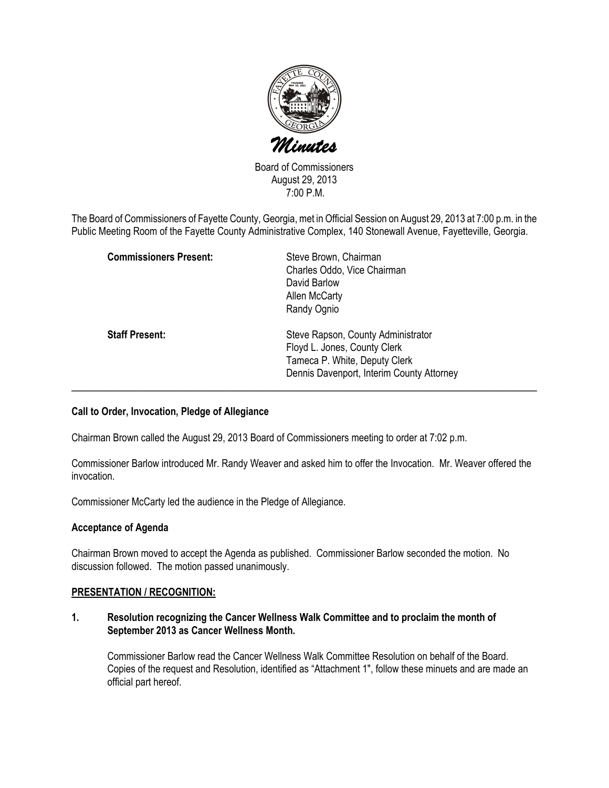

Board of Commissioners August 29, 2013 7:00 P.M.

The Board of Commissioners of Fayette County, Georgia, met in Official Session on August 29, 2013 at 7:00 p.m. in the Public Meeting Room of the Fayette County Administrative Complex, 140 Stonewall Avenue, Fayetteville, Georgia.

| <b>Commissioners Present:</b> | Steve Brown, Chairman<br>Charles Oddo, Vice Chairman<br>David Barlow<br>Allen McCarty<br>Randy Ognio                                             |
|-------------------------------|--------------------------------------------------------------------------------------------------------------------------------------------------|
| <b>Staff Present:</b>         | Steve Rapson, County Administrator<br>Floyd L. Jones, County Clerk<br>Tameca P. White, Deputy Clerk<br>Dennis Davenport, Interim County Attorney |

### Call to Order, Invocation, Pledge of Allegiance

Chairman Brown called the August 29, 2013 Board of Commissioners meeting to order at 7:02 p.m.

Commissioner Barlow introduced Mr. Randy Weaver and asked him to offer the Invocation. Mr. Weaver offered the invocation.

Commissioner McCarty led the audience in the Pledge of Allegiance.

#### Acceptance of Agenda

Chairman Brown moved to accept the Agenda as published. Commissioner Barlow seconded the motion. No discussion followed. The motion passed unanimously.

#### PRESENTATION / RECOGNITION:

1. Resolution recognizing the Cancer Wellness Walk Committee and to proclaim the month of September 2013 as Cancer Wellness Month.

Commissioner Barlow read the Cancer Wellness Walk Committee Resolution on behalf of the Board. Copies of the request and Resolution, identified as "Attachment 1", follow these minuets and are made an official part hereof.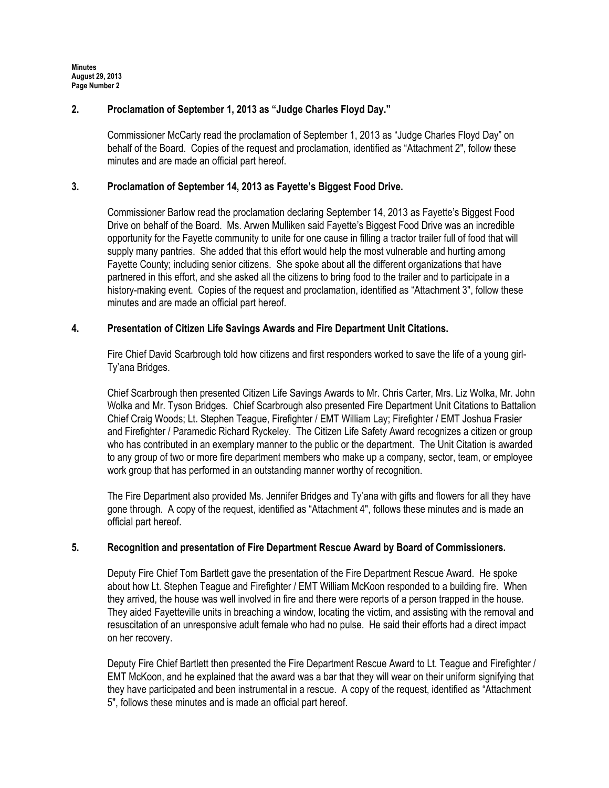Minutes August 29, 2013 Page Number 2

## 2. Proclamation of September 1, 2013 as "Judge Charles Floyd Day."

Commissioner McCarty read the proclamation of September 1, 2013 as "Judge Charles Floyd Day" on behalf of the Board. Copies of the request and proclamation, identified as "Attachment 2", follow these minutes and are made an official part hereof.

# 3. Proclamation of September 14, 2013 as Fayette's Biggest Food Drive.

Commissioner Barlow read the proclamation declaring September 14, 2013 as Fayette's Biggest Food Drive on behalf of the Board. Ms. Arwen Mulliken said Fayette's Biggest Food Drive was an incredible opportunity for the Fayette community to unite for one cause in filling a tractor trailer full of food that will supply many pantries. She added that this effort would help the most vulnerable and hurting among Fayette County; including senior citizens. She spoke about all the different organizations that have partnered in this effort, and she asked all the citizens to bring food to the trailer and to participate in a history-making event. Copies of the request and proclamation, identified as "Attachment 3", follow these minutes and are made an official part hereof.

### 4. Presentation of Citizen Life Savings Awards and Fire Department Unit Citations.

Fire Chief David Scarbrough told how citizens and first responders worked to save the life of a young girl-Ty'ana Bridges.

Chief Scarbrough then presented Citizen Life Savings Awards to Mr. Chris Carter, Mrs. Liz Wolka, Mr. John Wolka and Mr. Tyson Bridges. Chief Scarbrough also presented Fire Department Unit Citations to Battalion Chief Craig Woods; Lt. Stephen Teague, Firefighter / EMT William Lay; Firefighter / EMT Joshua Frasier and Firefighter / Paramedic Richard Ryckeley. The Citizen Life Safety Award recognizes a citizen or group who has contributed in an exemplary manner to the public or the department. The Unit Citation is awarded to any group of two or more fire department members who make up a company, sector, team, or employee work group that has performed in an outstanding manner worthy of recognition.

The Fire Department also provided Ms. Jennifer Bridges and Ty'ana with gifts and flowers for all they have gone through. A copy of the request, identified as "Attachment 4", follows these minutes and is made an official part hereof.

### 5. Recognition and presentation of Fire Department Rescue Award by Board of Commissioners.

Deputy Fire Chief Tom Bartlett gave the presentation of the Fire Department Rescue Award. He spoke about how Lt. Stephen Teague and Firefighter / EMT William McKoon responded to a building fire. When they arrived, the house was well involved in fire and there were reports of a person trapped in the house. They aided Fayetteville units in breaching a window, locating the victim, and assisting with the removal and resuscitation of an unresponsive adult female who had no pulse. He said their efforts had a direct impact on her recovery.

Deputy Fire Chief Bartlett then presented the Fire Department Rescue Award to Lt. Teague and Firefighter / EMT McKoon, and he explained that the award was a bar that they will wear on their uniform signifying that they have participated and been instrumental in a rescue. A copy of the request, identified as "Attachment 5", follows these minutes and is made an official part hereof.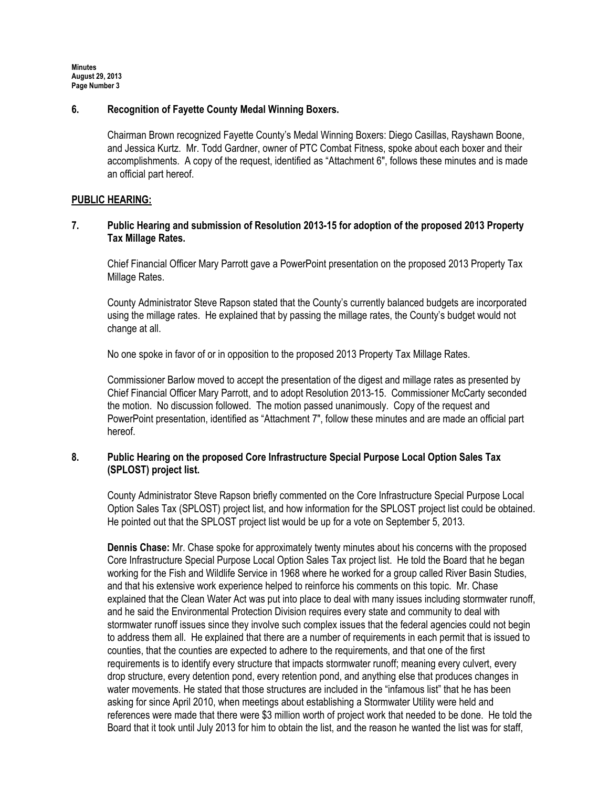Minutes August 29, 2013 Page Number 3

### 6. Recognition of Fayette County Medal Winning Boxers.

Chairman Brown recognized Fayette County's Medal Winning Boxers: Diego Casillas, Rayshawn Boone, and Jessica Kurtz. Mr. Todd Gardner, owner of PTC Combat Fitness, spoke about each boxer and their accomplishments. A copy of the request, identified as "Attachment 6", follows these minutes and is made an official part hereof.

#### PUBLIC HEARING:

# 7. Public Hearing and submission of Resolution 2013-15 for adoption of the proposed 2013 Property Tax Millage Rates.

Chief Financial Officer Mary Parrott gave a PowerPoint presentation on the proposed 2013 Property Tax Millage Rates.

County Administrator Steve Rapson stated that the County's currently balanced budgets are incorporated using the millage rates. He explained that by passing the millage rates, the County's budget would not change at all.

No one spoke in favor of or in opposition to the proposed 2013 Property Tax Millage Rates.

Commissioner Barlow moved to accept the presentation of the digest and millage rates as presented by Chief Financial Officer Mary Parrott, and to adopt Resolution 2013-15. Commissioner McCarty seconded the motion. No discussion followed. The motion passed unanimously. Copy of the request and PowerPoint presentation, identified as "Attachment 7", follow these minutes and are made an official part hereof.

# 8. Public Hearing on the proposed Core Infrastructure Special Purpose Local Option Sales Tax (SPLOST) project list.

County Administrator Steve Rapson briefly commented on the Core Infrastructure Special Purpose Local Option Sales Tax (SPLOST) project list, and how information for the SPLOST project list could be obtained. He pointed out that the SPLOST project list would be up for a vote on September 5, 2013.

Dennis Chase: Mr. Chase spoke for approximately twenty minutes about his concerns with the proposed Core Infrastructure Special Purpose Local Option Sales Tax project list. He told the Board that he began working for the Fish and Wildlife Service in 1968 where he worked for a group called River Basin Studies, and that his extensive work experience helped to reinforce his comments on this topic. Mr. Chase explained that the Clean Water Act was put into place to deal with many issues including stormwater runoff, and he said the Environmental Protection Division requires every state and community to deal with stormwater runoff issues since they involve such complex issues that the federal agencies could not begin to address them all. He explained that there are a number of requirements in each permit that is issued to counties, that the counties are expected to adhere to the requirements, and that one of the first requirements is to identify every structure that impacts stormwater runoff; meaning every culvert, every drop structure, every detention pond, every retention pond, and anything else that produces changes in water movements. He stated that those structures are included in the "infamous list" that he has been asking for since April 2010, when meetings about establishing a Stormwater Utility were held and references were made that there were \$3 million worth of project work that needed to be done. He told the Board that it took until July 2013 for him to obtain the list, and the reason he wanted the list was for staff,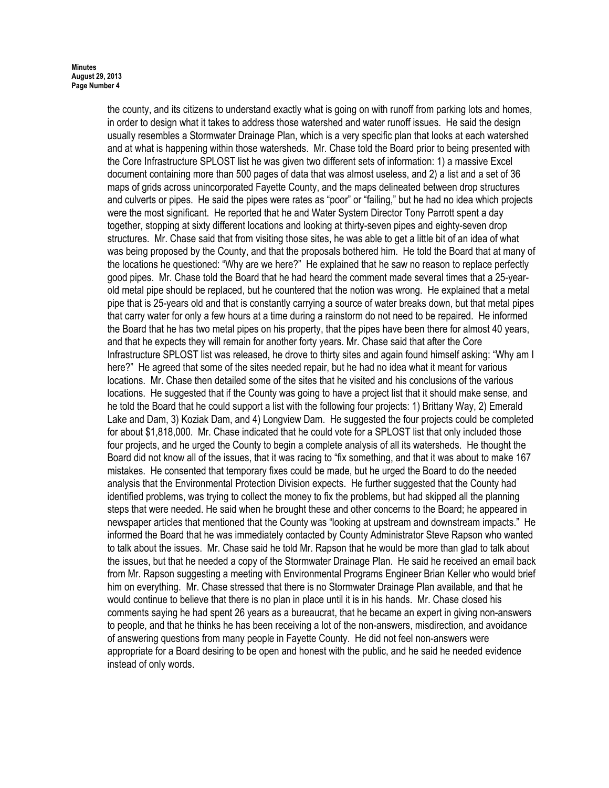the county, and its citizens to understand exactly what is going on with runoff from parking lots and homes, in order to design what it takes to address those watershed and water runoff issues. He said the design usually resembles a Stormwater Drainage Plan, which is a very specific plan that looks at each watershed and at what is happening within those watersheds. Mr. Chase told the Board prior to being presented with the Core Infrastructure SPLOST list he was given two different sets of information: 1) a massive Excel document containing more than 500 pages of data that was almost useless, and 2) a list and a set of 36 maps of grids across unincorporated Fayette County, and the maps delineated between drop structures and culverts or pipes. He said the pipes were rates as "poor" or "failing," but he had no idea which projects were the most significant. He reported that he and Water System Director Tony Parrott spent a day together, stopping at sixty different locations and looking at thirty-seven pipes and eighty-seven drop structures. Mr. Chase said that from visiting those sites, he was able to get a little bit of an idea of what was being proposed by the County, and that the proposals bothered him. He told the Board that at many of the locations he questioned: "Why are we here?" He explained that he saw no reason to replace perfectly good pipes. Mr. Chase told the Board that he had heard the comment made several times that a 25-yearold metal pipe should be replaced, but he countered that the notion was wrong. He explained that a metal pipe that is 25-years old and that is constantly carrying a source of water breaks down, but that metal pipes that carry water for only a few hours at a time during a rainstorm do not need to be repaired. He informed the Board that he has two metal pipes on his property, that the pipes have been there for almost 40 years, and that he expects they will remain for another forty years. Mr. Chase said that after the Core Infrastructure SPLOST list was released, he drove to thirty sites and again found himself asking: "Why am I here?" He agreed that some of the sites needed repair, but he had no idea what it meant for various locations. Mr. Chase then detailed some of the sites that he visited and his conclusions of the various locations. He suggested that if the County was going to have a project list that it should make sense, and he told the Board that he could support a list with the following four projects: 1) Brittany Way, 2) Emerald Lake and Dam, 3) Koziak Dam, and 4) Longview Dam. He suggested the four projects could be completed for about \$1,818,000. Mr. Chase indicated that he could vote for a SPLOST list that only included those four projects, and he urged the County to begin a complete analysis of all its watersheds. He thought the Board did not know all of the issues, that it was racing to "fix something, and that it was about to make 167 mistakes. He consented that temporary fixes could be made, but he urged the Board to do the needed analysis that the Environmental Protection Division expects. He further suggested that the County had identified problems, was trying to collect the money to fix the problems, but had skipped all the planning steps that were needed. He said when he brought these and other concerns to the Board; he appeared in newspaper articles that mentioned that the County was "looking at upstream and downstream impacts." He informed the Board that he was immediately contacted by County Administrator Steve Rapson who wanted to talk about the issues. Mr. Chase said he told Mr. Rapson that he would be more than glad to talk about the issues, but that he needed a copy of the Stormwater Drainage Plan. He said he received an email back from Mr. Rapson suggesting a meeting with Environmental Programs Engineer Brian Keller who would brief him on everything. Mr. Chase stressed that there is no Stormwater Drainage Plan available, and that he would continue to believe that there is no plan in place until it is in his hands. Mr. Chase closed his comments saying he had spent 26 years as a bureaucrat, that he became an expert in giving non-answers to people, and that he thinks he has been receiving a lot of the non-answers, misdirection, and avoidance of answering questions from many people in Fayette County. He did not feel non-answers were appropriate for a Board desiring to be open and honest with the public, and he said he needed evidence instead of only words.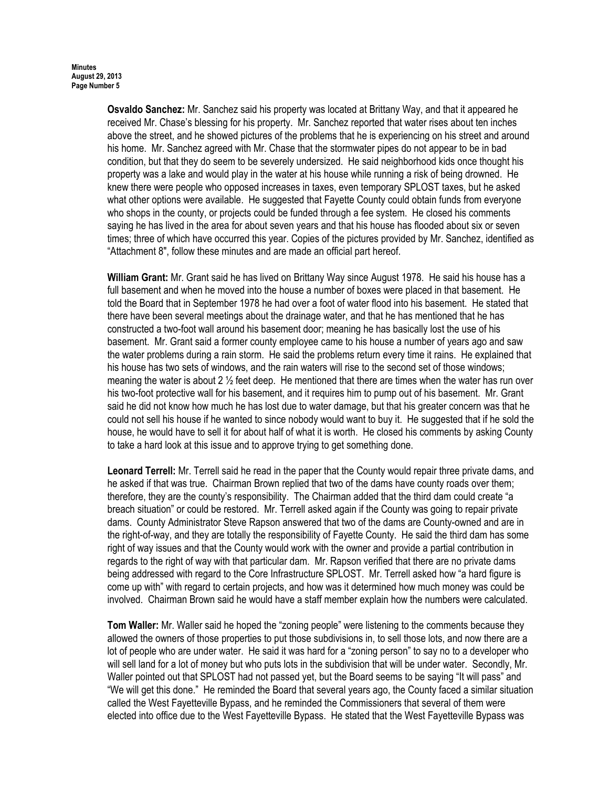Osvaldo Sanchez: Mr. Sanchez said his property was located at Brittany Way, and that it appeared he received Mr. Chase's blessing for his property. Mr. Sanchez reported that water rises about ten inches above the street, and he showed pictures of the problems that he is experiencing on his street and around his home. Mr. Sanchez agreed with Mr. Chase that the stormwater pipes do not appear to be in bad condition, but that they do seem to be severely undersized. He said neighborhood kids once thought his property was a lake and would play in the water at his house while running a risk of being drowned. He knew there were people who opposed increases in taxes, even temporary SPLOST taxes, but he asked what other options were available. He suggested that Fayette County could obtain funds from everyone who shops in the county, or projects could be funded through a fee system. He closed his comments saying he has lived in the area for about seven years and that his house has flooded about six or seven times; three of which have occurred this year. Copies of the pictures provided by Mr. Sanchez, identified as "Attachment 8", follow these minutes and are made an official part hereof.

William Grant: Mr. Grant said he has lived on Brittany Way since August 1978. He said his house has a full basement and when he moved into the house a number of boxes were placed in that basement. He told the Board that in September 1978 he had over a foot of water flood into his basement. He stated that there have been several meetings about the drainage water, and that he has mentioned that he has constructed a two-foot wall around his basement door; meaning he has basically lost the use of his basement. Mr. Grant said a former county employee came to his house a number of years ago and saw the water problems during a rain storm. He said the problems return every time it rains. He explained that his house has two sets of windows, and the rain waters will rise to the second set of those windows; meaning the water is about 2  $\frac{1}{2}$  feet deep. He mentioned that there are times when the water has run over his two-foot protective wall for his basement, and it requires him to pump out of his basement. Mr. Grant said he did not know how much he has lost due to water damage, but that his greater concern was that he could not sell his house if he wanted to since nobody would want to buy it. He suggested that if he sold the house, he would have to sell it for about half of what it is worth. He closed his comments by asking County to take a hard look at this issue and to approve trying to get something done.

Leonard Terrell: Mr. Terrell said he read in the paper that the County would repair three private dams, and he asked if that was true. Chairman Brown replied that two of the dams have county roads over them; therefore, they are the county's responsibility. The Chairman added that the third dam could create "a breach situation" or could be restored. Mr. Terrell asked again if the County was going to repair private dams. County Administrator Steve Rapson answered that two of the dams are County-owned and are in the right-of-way, and they are totally the responsibility of Fayette County. He said the third dam has some right of way issues and that the County would work with the owner and provide a partial contribution in regards to the right of way with that particular dam. Mr. Rapson verified that there are no private dams being addressed with regard to the Core Infrastructure SPLOST. Mr. Terrell asked how "a hard figure is come up with" with regard to certain projects, and how was it determined how much money was could be involved. Chairman Brown said he would have a staff member explain how the numbers were calculated.

Tom Waller: Mr. Waller said he hoped the "zoning people" were listening to the comments because they allowed the owners of those properties to put those subdivisions in, to sell those lots, and now there are a lot of people who are under water. He said it was hard for a "zoning person" to say no to a developer who will sell land for a lot of money but who puts lots in the subdivision that will be under water. Secondly, Mr. Waller pointed out that SPLOST had not passed yet, but the Board seems to be saying "It will pass" and "We will get this done." He reminded the Board that several years ago, the County faced a similar situation called the West Fayetteville Bypass, and he reminded the Commissioners that several of them were elected into office due to the West Fayetteville Bypass. He stated that the West Fayetteville Bypass was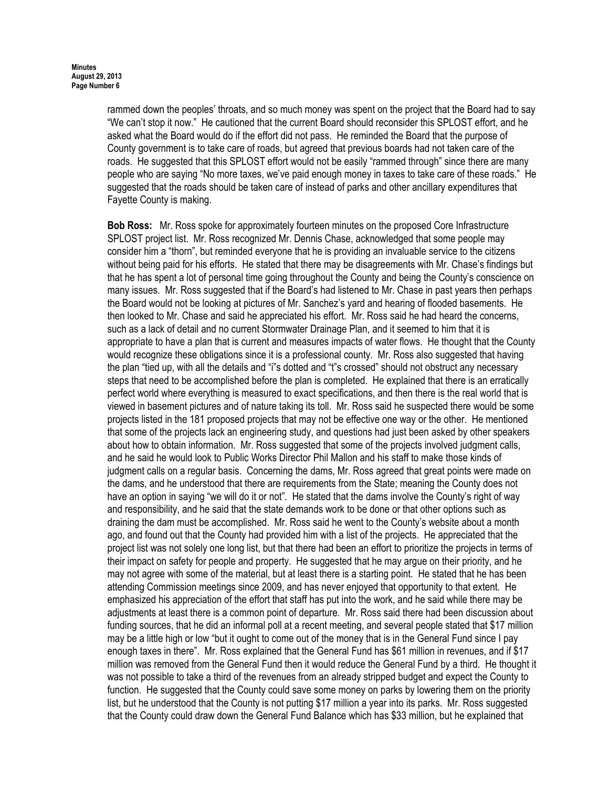rammed down the peoples' throats, and so much money was spent on the project that the Board had to say "We can't stop it now." He cautioned that the current Board should reconsider this SPLOST effort, and he asked what the Board would do if the effort did not pass. He reminded the Board that the purpose of County government is to take care of roads, but agreed that previous boards had not taken care of the roads. He suggested that this SPLOST effort would not be easily "rammed through" since there are many people who are saying "No more taxes, we've paid enough money in taxes to take care of these roads." He suggested that the roads should be taken care of instead of parks and other ancillary expenditures that Fayette County is making.

Bob Ross: Mr. Ross spoke for approximately fourteen minutes on the proposed Core Infrastructure SPLOST project list. Mr. Ross recognized Mr. Dennis Chase, acknowledged that some people may consider him a "thorn", but reminded everyone that he is providing an invaluable service to the citizens without being paid for his efforts. He stated that there may be disagreements with Mr. Chase's findings but that he has spent a lot of personal time going throughout the County and being the County's conscience on many issues. Mr. Ross suggested that if the Board's had listened to Mr. Chase in past years then perhaps the Board would not be looking at pictures of Mr. Sanchez's yard and hearing of flooded basements. He then looked to Mr. Chase and said he appreciated his effort. Mr. Ross said he had heard the concerns, such as a lack of detail and no current Stormwater Drainage Plan, and it seemed to him that it is appropriate to have a plan that is current and measures impacts of water flows. He thought that the County would recognize these obligations since it is a professional county. Mr. Ross also suggested that having the plan "tied up, with all the details and "i"s dotted and "t"s crossed" should not obstruct any necessary steps that need to be accomplished before the plan is completed. He explained that there is an erratically perfect world where everything is measured to exact specifications, and then there is the real world that is viewed in basement pictures and of nature taking its toll. Mr. Ross said he suspected there would be some projects listed in the 181 proposed projects that may not be effective one way or the other. He mentioned that some of the projects lack an engineering study, and questions had just been asked by other speakers about how to obtain information. Mr. Ross suggested that some of the projects involved judgment calls, and he said he would look to Public Works Director Phil Mallon and his staff to make those kinds of judgment calls on a regular basis. Concerning the dams, Mr. Ross agreed that great points were made on the dams, and he understood that there are requirements from the State; meaning the County does not have an option in saying "we will do it or not". He stated that the dams involve the County's right of way and responsibility, and he said that the state demands work to be done or that other options such as draining the dam must be accomplished. Mr. Ross said he went to the County's website about a month ago, and found out that the County had provided him with a list of the projects. He appreciated that the project list was not solely one long list, but that there had been an effort to prioritize the projects in terms of their impact on safety for people and property. He suggested that he may argue on their priority, and he may not agree with some of the material, but at least there is a starting point. He stated that he has been attending Commission meetings since 2009, and has never enjoyed that opportunity to that extent. He emphasized his appreciation of the effort that staff has put into the work, and he said while there may be adjustments at least there is a common point of departure. Mr. Ross said there had been discussion about funding sources, that he did an informal poll at a recent meeting, and several people stated that \$17 million may be a little high or low "but it ought to come out of the money that is in the General Fund since I pay enough taxes in there". Mr. Ross explained that the General Fund has \$61 million in revenues, and if \$17 million was removed from the General Fund then it would reduce the General Fund by a third. He thought it was not possible to take a third of the revenues from an already stripped budget and expect the County to function. He suggested that the County could save some money on parks by lowering them on the priority list, but he understood that the County is not putting \$17 million a year into its parks. Mr. Ross suggested that the County could draw down the General Fund Balance which has \$33 million, but he explained that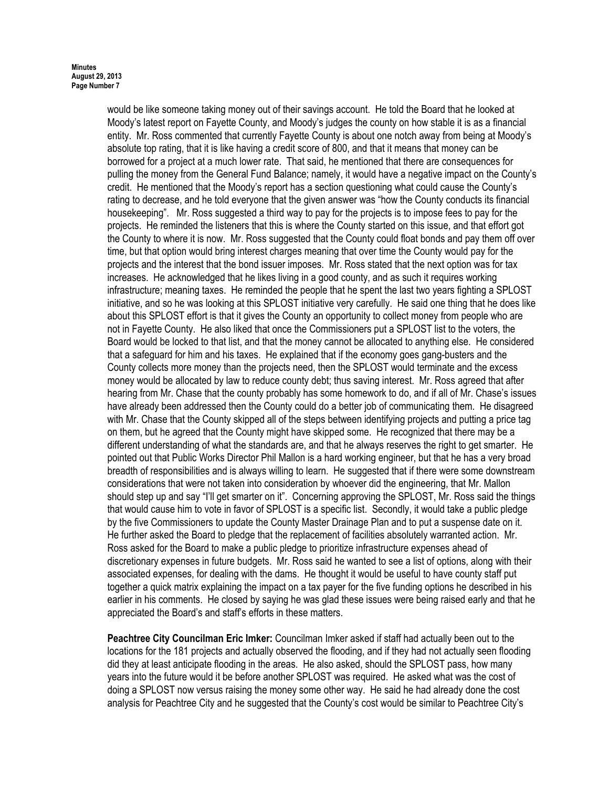would be like someone taking money out of their savings account. He told the Board that he looked at Moody's latest report on Fayette County, and Moody's judges the county on how stable it is as a financial entity. Mr. Ross commented that currently Fayette County is about one notch away from being at Moody's absolute top rating, that it is like having a credit score of 800, and that it means that money can be borrowed for a project at a much lower rate. That said, he mentioned that there are consequences for pulling the money from the General Fund Balance; namely, it would have a negative impact on the County's credit. He mentioned that the Moody's report has a section questioning what could cause the County's rating to decrease, and he told everyone that the given answer was "how the County conducts its financial housekeeping". Mr. Ross suggested a third way to pay for the projects is to impose fees to pay for the projects. He reminded the listeners that this is where the County started on this issue, and that effort got the County to where it is now. Mr. Ross suggested that the County could float bonds and pay them off over time, but that option would bring interest charges meaning that over time the County would pay for the projects and the interest that the bond issuer imposes. Mr. Ross stated that the next option was for tax increases. He acknowledged that he likes living in a good county, and as such it requires working infrastructure; meaning taxes. He reminded the people that he spent the last two years fighting a SPLOST initiative, and so he was looking at this SPLOST initiative very carefully. He said one thing that he does like about this SPLOST effort is that it gives the County an opportunity to collect money from people who are not in Fayette County. He also liked that once the Commissioners put a SPLOST list to the voters, the Board would be locked to that list, and that the money cannot be allocated to anything else. He considered that a safeguard for him and his taxes. He explained that if the economy goes gang-busters and the County collects more money than the projects need, then the SPLOST would terminate and the excess money would be allocated by law to reduce county debt; thus saving interest. Mr. Ross agreed that after hearing from Mr. Chase that the county probably has some homework to do, and if all of Mr. Chase's issues have already been addressed then the County could do a better job of communicating them. He disagreed with Mr. Chase that the County skipped all of the steps between identifying projects and putting a price tag on them, but he agreed that the County might have skipped some. He recognized that there may be a different understanding of what the standards are, and that he always reserves the right to get smarter. He pointed out that Public Works Director Phil Mallon is a hard working engineer, but that he has a very broad breadth of responsibilities and is always willing to learn. He suggested that if there were some downstream considerations that were not taken into consideration by whoever did the engineering, that Mr. Mallon should step up and say "I'll get smarter on it". Concerning approving the SPLOST, Mr. Ross said the things that would cause him to vote in favor of SPLOST is a specific list. Secondly, it would take a public pledge by the five Commissioners to update the County Master Drainage Plan and to put a suspense date on it. He further asked the Board to pledge that the replacement of facilities absolutely warranted action. Mr. Ross asked for the Board to make a public pledge to prioritize infrastructure expenses ahead of discretionary expenses in future budgets. Mr. Ross said he wanted to see a list of options, along with their associated expenses, for dealing with the dams. He thought it would be useful to have county staff put together a quick matrix explaining the impact on a tax payer for the five funding options he described in his earlier in his comments. He closed by saying he was glad these issues were being raised early and that he appreciated the Board's and staff's efforts in these matters.

Peachtree City Councilman Eric Imker: Councilman Imker asked if staff had actually been out to the locations for the 181 projects and actually observed the flooding, and if they had not actually seen flooding did they at least anticipate flooding in the areas. He also asked, should the SPLOST pass, how many years into the future would it be before another SPLOST was required. He asked what was the cost of doing a SPLOST now versus raising the money some other way. He said he had already done the cost analysis for Peachtree City and he suggested that the County's cost would be similar to Peachtree City's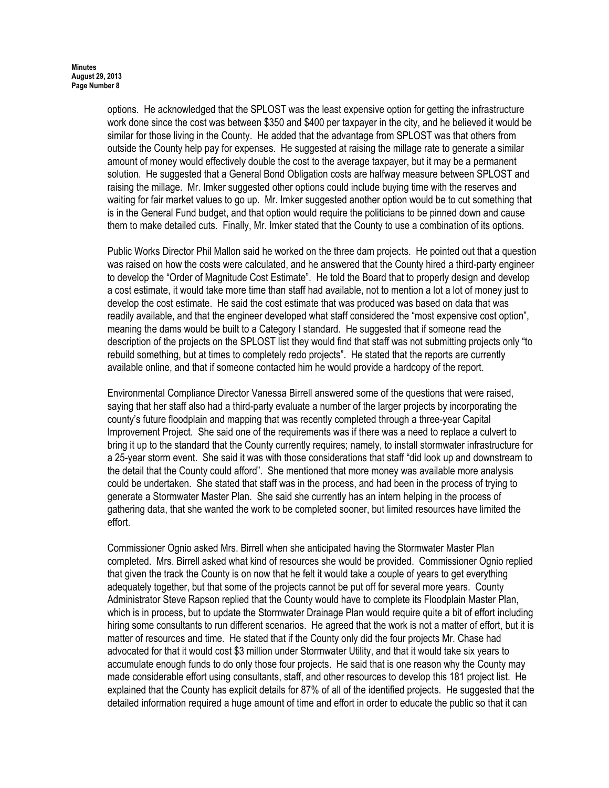options. He acknowledged that the SPLOST was the least expensive option for getting the infrastructure work done since the cost was between \$350 and \$400 per taxpayer in the city, and he believed it would be similar for those living in the County. He added that the advantage from SPLOST was that others from outside the County help pay for expenses. He suggested at raising the millage rate to generate a similar amount of money would effectively double the cost to the average taxpayer, but it may be a permanent solution. He suggested that a General Bond Obligation costs are halfway measure between SPLOST and raising the millage. Mr. Imker suggested other options could include buying time with the reserves and waiting for fair market values to go up. Mr. Imker suggested another option would be to cut something that is in the General Fund budget, and that option would require the politicians to be pinned down and cause them to make detailed cuts. Finally, Mr. Imker stated that the County to use a combination of its options.

Public Works Director Phil Mallon said he worked on the three dam projects. He pointed out that a question was raised on how the costs were calculated, and he answered that the County hired a third-party engineer to develop the "Order of Magnitude Cost Estimate". He told the Board that to properly design and develop a cost estimate, it would take more time than staff had available, not to mention a lot a lot of money just to develop the cost estimate. He said the cost estimate that was produced was based on data that was readily available, and that the engineer developed what staff considered the "most expensive cost option", meaning the dams would be built to a Category I standard. He suggested that if someone read the description of the projects on the SPLOST list they would find that staff was not submitting projects only "to rebuild something, but at times to completely redo projects". He stated that the reports are currently available online, and that if someone contacted him he would provide a hardcopy of the report.

Environmental Compliance Director Vanessa Birrell answered some of the questions that were raised, saying that her staff also had a third-party evaluate a number of the larger projects by incorporating the county's future floodplain and mapping that was recently completed through a three-year Capital Improvement Project. She said one of the requirements was if there was a need to replace a culvert to bring it up to the standard that the County currently requires; namely, to install stormwater infrastructure for a 25-year storm event. She said it was with those considerations that staff "did look up and downstream to the detail that the County could afford". She mentioned that more money was available more analysis could be undertaken. She stated that staff was in the process, and had been in the process of trying to generate a Stormwater Master Plan. She said she currently has an intern helping in the process of gathering data, that she wanted the work to be completed sooner, but limited resources have limited the effort.

Commissioner Ognio asked Mrs. Birrell when she anticipated having the Stormwater Master Plan completed. Mrs. Birrell asked what kind of resources she would be provided. Commissioner Ognio replied that given the track the County is on now that he felt it would take a couple of years to get everything adequately together, but that some of the projects cannot be put off for several more years. County Administrator Steve Rapson replied that the County would have to complete its Floodplain Master Plan, which is in process, but to update the Stormwater Drainage Plan would require quite a bit of effort including hiring some consultants to run different scenarios. He agreed that the work is not a matter of effort, but it is matter of resources and time. He stated that if the County only did the four projects Mr. Chase had advocated for that it would cost \$3 million under Stormwater Utility, and that it would take six years to accumulate enough funds to do only those four projects. He said that is one reason why the County may made considerable effort using consultants, staff, and other resources to develop this 181 project list. He explained that the County has explicit details for 87% of all of the identified projects. He suggested that the detailed information required a huge amount of time and effort in order to educate the public so that it can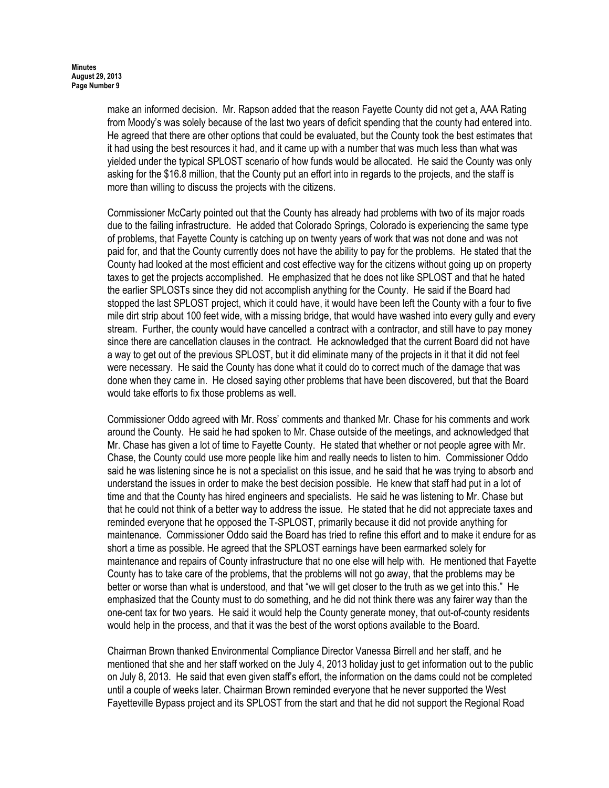make an informed decision. Mr. Rapson added that the reason Fayette County did not get a, AAA Rating from Moody's was solely because of the last two years of deficit spending that the county had entered into. He agreed that there are other options that could be evaluated, but the County took the best estimates that it had using the best resources it had, and it came up with a number that was much less than what was yielded under the typical SPLOST scenario of how funds would be allocated. He said the County was only asking for the \$16.8 million, that the County put an effort into in regards to the projects, and the staff is more than willing to discuss the projects with the citizens.

Commissioner McCarty pointed out that the County has already had problems with two of its major roads due to the failing infrastructure. He added that Colorado Springs, Colorado is experiencing the same type of problems, that Fayette County is catching up on twenty years of work that was not done and was not paid for, and that the County currently does not have the ability to pay for the problems. He stated that the County had looked at the most efficient and cost effective way for the citizens without going up on property taxes to get the projects accomplished. He emphasized that he does not like SPLOST and that he hated the earlier SPLOSTs since they did not accomplish anything for the County. He said if the Board had stopped the last SPLOST project, which it could have, it would have been left the County with a four to five mile dirt strip about 100 feet wide, with a missing bridge, that would have washed into every gully and every stream. Further, the county would have cancelled a contract with a contractor, and still have to pay money since there are cancellation clauses in the contract. He acknowledged that the current Board did not have a way to get out of the previous SPLOST, but it did eliminate many of the projects in it that it did not feel were necessary. He said the County has done what it could do to correct much of the damage that was done when they came in. He closed saying other problems that have been discovered, but that the Board would take efforts to fix those problems as well.

Commissioner Oddo agreed with Mr. Ross' comments and thanked Mr. Chase for his comments and work around the County. He said he had spoken to Mr. Chase outside of the meetings, and acknowledged that Mr. Chase has given a lot of time to Fayette County. He stated that whether or not people agree with Mr. Chase, the County could use more people like him and really needs to listen to him. Commissioner Oddo said he was listening since he is not a specialist on this issue, and he said that he was trying to absorb and understand the issues in order to make the best decision possible. He knew that staff had put in a lot of time and that the County has hired engineers and specialists. He said he was listening to Mr. Chase but that he could not think of a better way to address the issue. He stated that he did not appreciate taxes and reminded everyone that he opposed the T-SPLOST, primarily because it did not provide anything for maintenance. Commissioner Oddo said the Board has tried to refine this effort and to make it endure for as short a time as possible. He agreed that the SPLOST earnings have been earmarked solely for maintenance and repairs of County infrastructure that no one else will help with. He mentioned that Fayette County has to take care of the problems, that the problems will not go away, that the problems may be better or worse than what is understood, and that "we will get closer to the truth as we get into this." He emphasized that the County must to do something, and he did not think there was any fairer way than the one-cent tax for two years. He said it would help the County generate money, that out-of-county residents would help in the process, and that it was the best of the worst options available to the Board.

Chairman Brown thanked Environmental Compliance Director Vanessa Birrell and her staff, and he mentioned that she and her staff worked on the July 4, 2013 holiday just to get information out to the public on July 8, 2013. He said that even given staff's effort, the information on the dams could not be completed until a couple of weeks later. Chairman Brown reminded everyone that he never supported the West Fayetteville Bypass project and its SPLOST from the start and that he did not support the Regional Road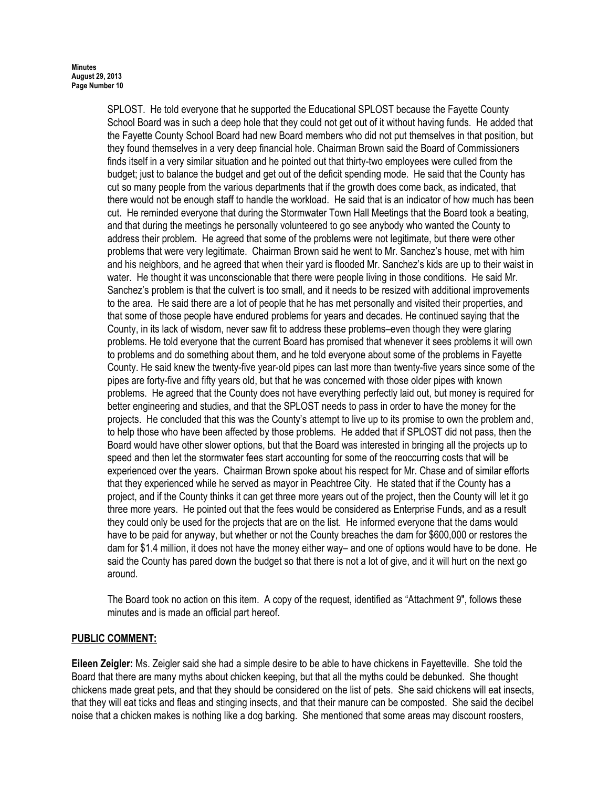SPLOST. He told everyone that he supported the Educational SPLOST because the Fayette County School Board was in such a deep hole that they could not get out of it without having funds. He added that the Fayette County School Board had new Board members who did not put themselves in that position, but they found themselves in a very deep financial hole. Chairman Brown said the Board of Commissioners finds itself in a very similar situation and he pointed out that thirty-two employees were culled from the budget; just to balance the budget and get out of the deficit spending mode. He said that the County has cut so many people from the various departments that if the growth does come back, as indicated, that there would not be enough staff to handle the workload. He said that is an indicator of how much has been cut. He reminded everyone that during the Stormwater Town Hall Meetings that the Board took a beating, and that during the meetings he personally volunteered to go see anybody who wanted the County to address their problem. He agreed that some of the problems were not legitimate, but there were other problems that were very legitimate. Chairman Brown said he went to Mr. Sanchez's house, met with him and his neighbors, and he agreed that when their yard is flooded Mr. Sanchez's kids are up to their waist in water. He thought it was unconscionable that there were people living in those conditions. He said Mr. Sanchez's problem is that the culvert is too small, and it needs to be resized with additional improvements to the area. He said there are a lot of people that he has met personally and visited their properties, and that some of those people have endured problems for years and decades. He continued saying that the County, in its lack of wisdom, never saw fit to address these problems–even though they were glaring problems. He told everyone that the current Board has promised that whenever it sees problems it will own to problems and do something about them, and he told everyone about some of the problems in Fayette County. He said knew the twenty-five year-old pipes can last more than twenty-five years since some of the pipes are forty-five and fifty years old, but that he was concerned with those older pipes with known problems. He agreed that the County does not have everything perfectly laid out, but money is required for better engineering and studies, and that the SPLOST needs to pass in order to have the money for the projects. He concluded that this was the County's attempt to live up to its promise to own the problem and, to help those who have been affected by those problems. He added that if SPLOST did not pass, then the Board would have other slower options, but that the Board was interested in bringing all the projects up to speed and then let the stormwater fees start accounting for some of the reoccurring costs that will be experienced over the years. Chairman Brown spoke about his respect for Mr. Chase and of similar efforts that they experienced while he served as mayor in Peachtree City. He stated that if the County has a project, and if the County thinks it can get three more years out of the project, then the County will let it go three more years. He pointed out that the fees would be considered as Enterprise Funds, and as a result they could only be used for the projects that are on the list. He informed everyone that the dams would have to be paid for anyway, but whether or not the County breaches the dam for \$600,000 or restores the dam for \$1.4 million, it does not have the money either way– and one of options would have to be done. He said the County has pared down the budget so that there is not a lot of give, and it will hurt on the next go around.

The Board took no action on this item. A copy of the request, identified as "Attachment 9", follows these minutes and is made an official part hereof.

# PUBLIC COMMENT:

Eileen Zeigler: Ms. Zeigler said she had a simple desire to be able to have chickens in Fayetteville. She told the Board that there are many myths about chicken keeping, but that all the myths could be debunked. She thought chickens made great pets, and that they should be considered on the list of pets. She said chickens will eat insects, that they will eat ticks and fleas and stinging insects, and that their manure can be composted. She said the decibel noise that a chicken makes is nothing like a dog barking. She mentioned that some areas may discount roosters,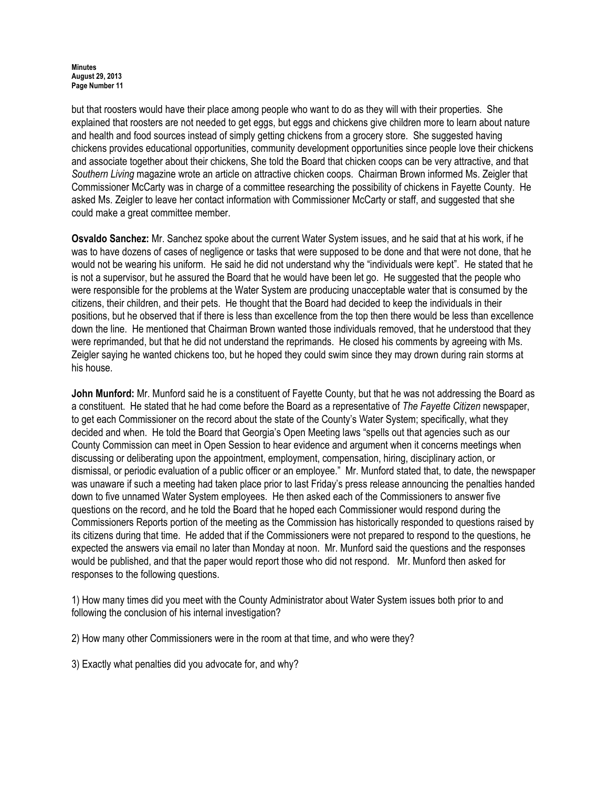#### **Minutes** August 29, 2013 Page Number 11

but that roosters would have their place among people who want to do as they will with their properties. She explained that roosters are not needed to get eggs, but eggs and chickens give children more to learn about nature and health and food sources instead of simply getting chickens from a grocery store. She suggested having chickens provides educational opportunities, community development opportunities since people love their chickens and associate together about their chickens, She told the Board that chicken coops can be very attractive, and that Southern Living magazine wrote an article on attractive chicken coops. Chairman Brown informed Ms. Zeigler that Commissioner McCarty was in charge of a committee researching the possibility of chickens in Fayette County. He asked Ms. Zeigler to leave her contact information with Commissioner McCarty or staff, and suggested that she could make a great committee member.

Osvaldo Sanchez: Mr. Sanchez spoke about the current Water System issues, and he said that at his work, if he was to have dozens of cases of negligence or tasks that were supposed to be done and that were not done, that he would not be wearing his uniform. He said he did not understand why the "individuals were kept". He stated that he is not a supervisor, but he assured the Board that he would have been let go. He suggested that the people who were responsible for the problems at the Water System are producing unacceptable water that is consumed by the citizens, their children, and their pets. He thought that the Board had decided to keep the individuals in their positions, but he observed that if there is less than excellence from the top then there would be less than excellence down the line. He mentioned that Chairman Brown wanted those individuals removed, that he understood that they were reprimanded, but that he did not understand the reprimands. He closed his comments by agreeing with Ms. Zeigler saying he wanted chickens too, but he hoped they could swim since they may drown during rain storms at his house.

John Munford: Mr. Munford said he is a constituent of Fayette County, but that he was not addressing the Board as a constituent. He stated that he had come before the Board as a representative of The Fayette Citizen newspaper, to get each Commissioner on the record about the state of the County's Water System; specifically, what they decided and when. He told the Board that Georgia's Open Meeting laws "spells out that agencies such as our County Commission can meet in Open Session to hear evidence and argument when it concerns meetings when discussing or deliberating upon the appointment, employment, compensation, hiring, disciplinary action, or dismissal, or periodic evaluation of a public officer or an employee." Mr. Munford stated that, to date, the newspaper was unaware if such a meeting had taken place prior to last Friday's press release announcing the penalties handed down to five unnamed Water System employees. He then asked each of the Commissioners to answer five questions on the record, and he told the Board that he hoped each Commissioner would respond during the Commissioners Reports portion of the meeting as the Commission has historically responded to questions raised by its citizens during that time. He added that if the Commissioners were not prepared to respond to the questions, he expected the answers via email no later than Monday at noon. Mr. Munford said the questions and the responses would be published, and that the paper would report those who did not respond. Mr. Munford then asked for responses to the following questions.

1) How many times did you meet with the County Administrator about Water System issues both prior to and following the conclusion of his internal investigation?

2) How many other Commissioners were in the room at that time, and who were they?

3) Exactly what penalties did you advocate for, and why?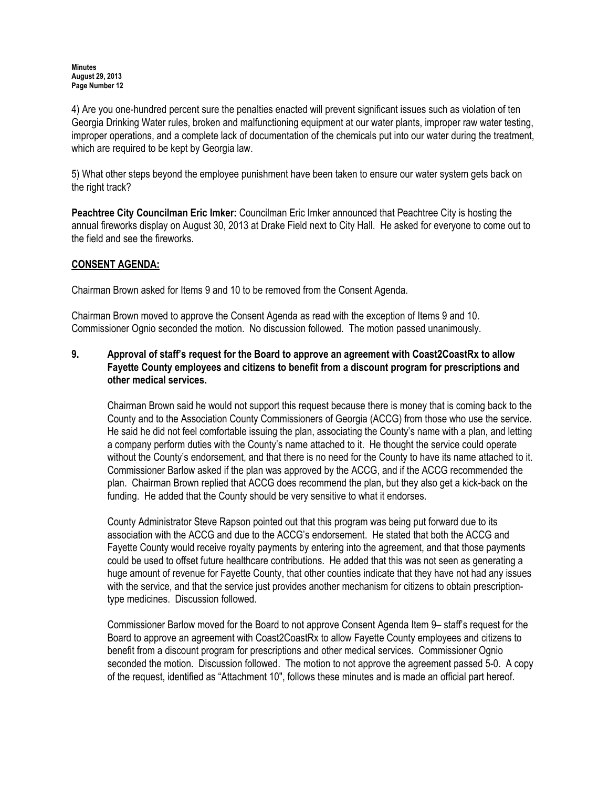4) Are you one-hundred percent sure the penalties enacted will prevent significant issues such as violation of ten Georgia Drinking Water rules, broken and malfunctioning equipment at our water plants, improper raw water testing, improper operations, and a complete lack of documentation of the chemicals put into our water during the treatment, which are required to be kept by Georgia law.

5) What other steps beyond the employee punishment have been taken to ensure our water system gets back on the right track?

Peachtree City Councilman Eric Imker: Councilman Eric Imker announced that Peachtree City is hosting the annual fireworks display on August 30, 2013 at Drake Field next to City Hall. He asked for everyone to come out to the field and see the fireworks.

# CONSENT AGENDA:

Chairman Brown asked for Items 9 and 10 to be removed from the Consent Agenda.

Chairman Brown moved to approve the Consent Agenda as read with the exception of Items 9 and 10. Commissioner Ognio seconded the motion. No discussion followed. The motion passed unanimously.

# 9. Approval of staff's request for the Board to approve an agreement with Coast2CoastRx to allow Fayette County employees and citizens to benefit from a discount program for prescriptions and other medical services.

Chairman Brown said he would not support this request because there is money that is coming back to the County and to the Association County Commissioners of Georgia (ACCG) from those who use the service. He said he did not feel comfortable issuing the plan, associating the County's name with a plan, and letting a company perform duties with the County's name attached to it. He thought the service could operate without the County's endorsement, and that there is no need for the County to have its name attached to it. Commissioner Barlow asked if the plan was approved by the ACCG, and if the ACCG recommended the plan. Chairman Brown replied that ACCG does recommend the plan, but they also get a kick-back on the funding. He added that the County should be very sensitive to what it endorses.

County Administrator Steve Rapson pointed out that this program was being put forward due to its association with the ACCG and due to the ACCG's endorsement. He stated that both the ACCG and Fayette County would receive royalty payments by entering into the agreement, and that those payments could be used to offset future healthcare contributions. He added that this was not seen as generating a huge amount of revenue for Fayette County, that other counties indicate that they have not had any issues with the service, and that the service just provides another mechanism for citizens to obtain prescriptiontype medicines. Discussion followed.

Commissioner Barlow moved for the Board to not approve Consent Agenda Item 9– staff's request for the Board to approve an agreement with Coast2CoastRx to allow Fayette County employees and citizens to benefit from a discount program for prescriptions and other medical services. Commissioner Ognio seconded the motion. Discussion followed. The motion to not approve the agreement passed 5-0. A copy of the request, identified as "Attachment 10", follows these minutes and is made an official part hereof.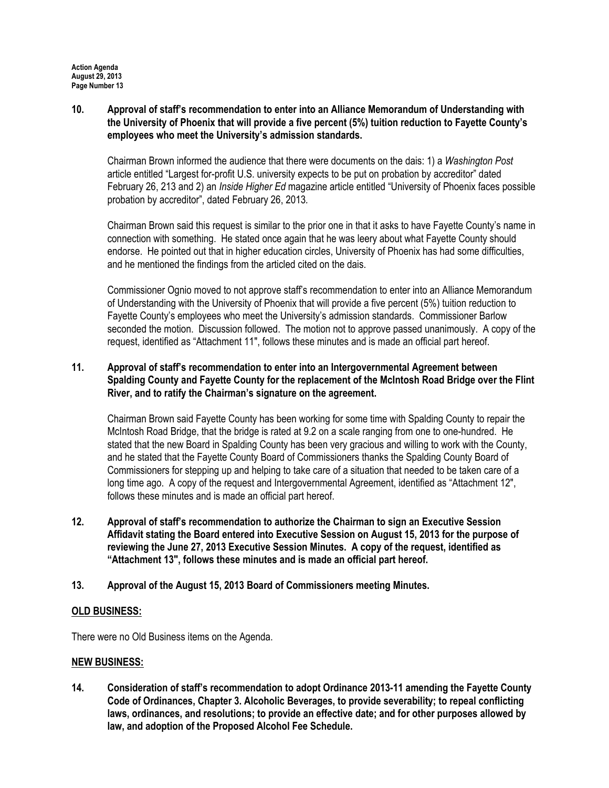10. Approval of staff's recommendation to enter into an Alliance Memorandum of Understanding with the University of Phoenix that will provide a five percent (5%) tuition reduction to Fayette County's employees who meet the University's admission standards.

Chairman Brown informed the audience that there were documents on the dais: 1) a Washington Post article entitled "Largest for-profit U.S. university expects to be put on probation by accreditor" dated February 26, 213 and 2) an *Inside Higher Ed* magazine article entitled "University of Phoenix faces possible probation by accreditor", dated February 26, 2013.

Chairman Brown said this request is similar to the prior one in that it asks to have Fayette County's name in connection with something. He stated once again that he was leery about what Fayette County should endorse. He pointed out that in higher education circles, University of Phoenix has had some difficulties, and he mentioned the findings from the articled cited on the dais.

Commissioner Ognio moved to not approve staff's recommendation to enter into an Alliance Memorandum of Understanding with the University of Phoenix that will provide a five percent (5%) tuition reduction to Fayette County's employees who meet the University's admission standards. Commissioner Barlow seconded the motion. Discussion followed. The motion not to approve passed unanimously. A copy of the request, identified as "Attachment 11", follows these minutes and is made an official part hereof.

# 11. Approval of staff's recommendation to enter into an Intergovernmental Agreement between Spalding County and Fayette County for the replacement of the McIntosh Road Bridge over the Flint River, and to ratify the Chairman's signature on the agreement.

Chairman Brown said Fayette County has been working for some time with Spalding County to repair the McIntosh Road Bridge, that the bridge is rated at 9.2 on a scale ranging from one to one-hundred. He stated that the new Board in Spalding County has been very gracious and willing to work with the County, and he stated that the Fayette County Board of Commissioners thanks the Spalding County Board of Commissioners for stepping up and helping to take care of a situation that needed to be taken care of a long time ago. A copy of the request and Intergovernmental Agreement, identified as "Attachment 12", follows these minutes and is made an official part hereof.

- 12. Approval of staff's recommendation to authorize the Chairman to sign an Executive Session Affidavit stating the Board entered into Executive Session on August 15, 2013 for the purpose of reviewing the June 27, 2013 Executive Session Minutes. A copy of the request, identified as "Attachment 13", follows these minutes and is made an official part hereof.
- 13. Approval of the August 15, 2013 Board of Commissioners meeting Minutes.

### OLD BUSINESS:

There were no Old Business items on the Agenda.

### NEW BUSINESS:

14. Consideration of staff's recommendation to adopt Ordinance 2013-11 amending the Fayette County Code of Ordinances, Chapter 3. Alcoholic Beverages, to provide severability; to repeal conflicting laws, ordinances, and resolutions; to provide an effective date; and for other purposes allowed by law, and adoption of the Proposed Alcohol Fee Schedule.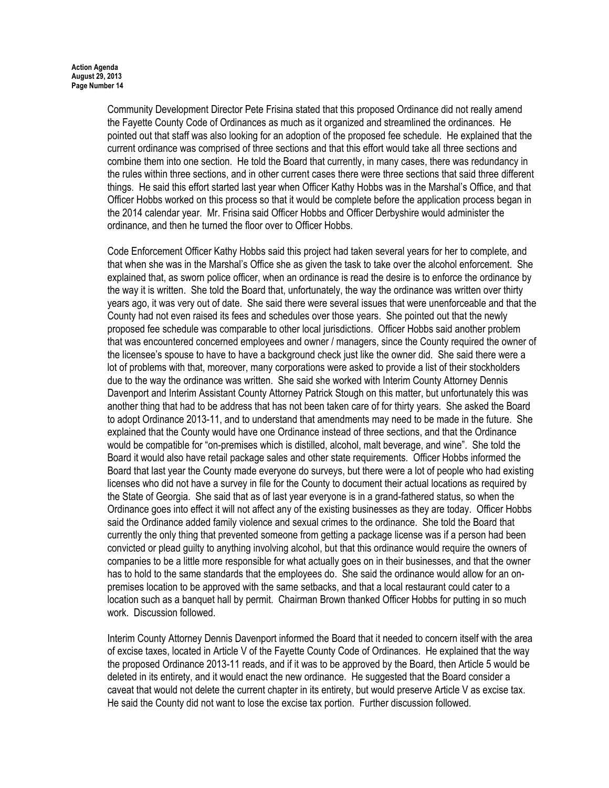Community Development Director Pete Frisina stated that this proposed Ordinance did not really amend the Fayette County Code of Ordinances as much as it organized and streamlined the ordinances. He pointed out that staff was also looking for an adoption of the proposed fee schedule. He explained that the current ordinance was comprised of three sections and that this effort would take all three sections and combine them into one section. He told the Board that currently, in many cases, there was redundancy in the rules within three sections, and in other current cases there were three sections that said three different things. He said this effort started last year when Officer Kathy Hobbs was in the Marshal's Office, and that Officer Hobbs worked on this process so that it would be complete before the application process began in the 2014 calendar year. Mr. Frisina said Officer Hobbs and Officer Derbyshire would administer the ordinance, and then he turned the floor over to Officer Hobbs.

Code Enforcement Officer Kathy Hobbs said this project had taken several years for her to complete, and that when she was in the Marshal's Office she as given the task to take over the alcohol enforcement. She explained that, as sworn police officer, when an ordinance is read the desire is to enforce the ordinance by the way it is written. She told the Board that, unfortunately, the way the ordinance was written over thirty years ago, it was very out of date. She said there were several issues that were unenforceable and that the County had not even raised its fees and schedules over those years. She pointed out that the newly proposed fee schedule was comparable to other local jurisdictions. Officer Hobbs said another problem that was encountered concerned employees and owner / managers, since the County required the owner of the licensee's spouse to have to have a background check just like the owner did. She said there were a lot of problems with that, moreover, many corporations were asked to provide a list of their stockholders due to the way the ordinance was written. She said she worked with Interim County Attorney Dennis Davenport and Interim Assistant County Attorney Patrick Stough on this matter, but unfortunately this was another thing that had to be address that has not been taken care of for thirty years. She asked the Board to adopt Ordinance 2013-11, and to understand that amendments may need to be made in the future. She explained that the County would have one Ordinance instead of three sections, and that the Ordinance would be compatible for "on-premises which is distilled, alcohol, malt beverage, and wine". She told the Board it would also have retail package sales and other state requirements. Officer Hobbs informed the Board that last year the County made everyone do surveys, but there were a lot of people who had existing licenses who did not have a survey in file for the County to document their actual locations as required by the State of Georgia. She said that as of last year everyone is in a grand-fathered status, so when the Ordinance goes into effect it will not affect any of the existing businesses as they are today. Officer Hobbs said the Ordinance added family violence and sexual crimes to the ordinance. She told the Board that currently the only thing that prevented someone from getting a package license was if a person had been convicted or plead guilty to anything involving alcohol, but that this ordinance would require the owners of companies to be a little more responsible for what actually goes on in their businesses, and that the owner has to hold to the same standards that the employees do. She said the ordinance would allow for an onpremises location to be approved with the same setbacks, and that a local restaurant could cater to a location such as a banquet hall by permit. Chairman Brown thanked Officer Hobbs for putting in so much work. Discussion followed.

Interim County Attorney Dennis Davenport informed the Board that it needed to concern itself with the area of excise taxes, located in Article V of the Fayette County Code of Ordinances. He explained that the way the proposed Ordinance 2013-11 reads, and if it was to be approved by the Board, then Article 5 would be deleted in its entirety, and it would enact the new ordinance. He suggested that the Board consider a caveat that would not delete the current chapter in its entirety, but would preserve Article V as excise tax. He said the County did not want to lose the excise tax portion. Further discussion followed.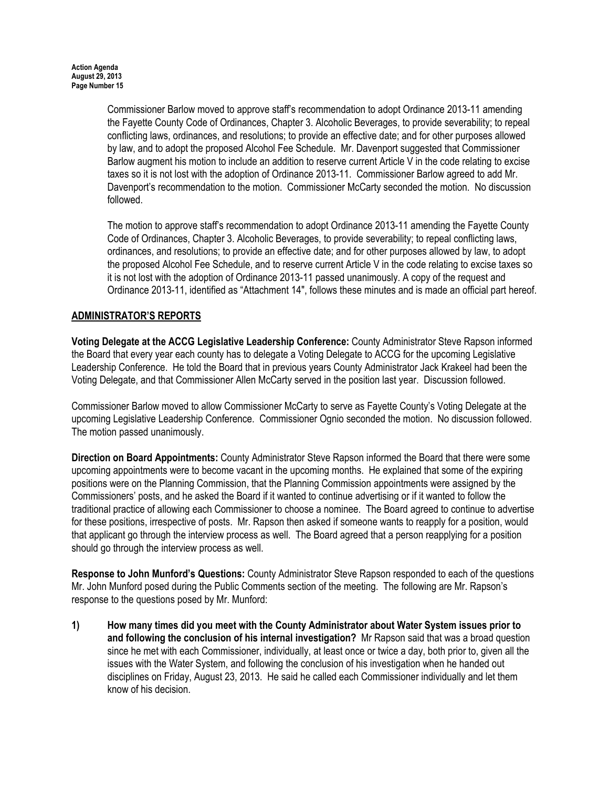Commissioner Barlow moved to approve staff's recommendation to adopt Ordinance 2013-11 amending the Fayette County Code of Ordinances, Chapter 3. Alcoholic Beverages, to provide severability; to repeal conflicting laws, ordinances, and resolutions; to provide an effective date; and for other purposes allowed by law, and to adopt the proposed Alcohol Fee Schedule. Mr. Davenport suggested that Commissioner Barlow augment his motion to include an addition to reserve current Article V in the code relating to excise taxes so it is not lost with the adoption of Ordinance 2013-11. Commissioner Barlow agreed to add Mr. Davenport's recommendation to the motion. Commissioner McCarty seconded the motion. No discussion followed.

The motion to approve staff's recommendation to adopt Ordinance 2013-11 amending the Fayette County Code of Ordinances, Chapter 3. Alcoholic Beverages, to provide severability; to repeal conflicting laws, ordinances, and resolutions; to provide an effective date; and for other purposes allowed by law, to adopt the proposed Alcohol Fee Schedule, and to reserve current Article V in the code relating to excise taxes so it is not lost with the adoption of Ordinance 2013-11 passed unanimously. A copy of the request and Ordinance 2013-11, identified as "Attachment 14", follows these minutes and is made an official part hereof.

# ADMINISTRATOR'S REPORTS

Voting Delegate at the ACCG Legislative Leadership Conference: County Administrator Steve Rapson informed the Board that every year each county has to delegate a Voting Delegate to ACCG for the upcoming Legislative Leadership Conference. He told the Board that in previous years County Administrator Jack Krakeel had been the Voting Delegate, and that Commissioner Allen McCarty served in the position last year. Discussion followed.

Commissioner Barlow moved to allow Commissioner McCarty to serve as Fayette County's Voting Delegate at the upcoming Legislative Leadership Conference. Commissioner Ognio seconded the motion. No discussion followed. The motion passed unanimously.

Direction on Board Appointments: County Administrator Steve Rapson informed the Board that there were some upcoming appointments were to become vacant in the upcoming months. He explained that some of the expiring positions were on the Planning Commission, that the Planning Commission appointments were assigned by the Commissioners' posts, and he asked the Board if it wanted to continue advertising or if it wanted to follow the traditional practice of allowing each Commissioner to choose a nominee. The Board agreed to continue to advertise for these positions, irrespective of posts. Mr. Rapson then asked if someone wants to reapply for a position, would that applicant go through the interview process as well. The Board agreed that a person reapplying for a position should go through the interview process as well.

Response to John Munford's Questions: County Administrator Steve Rapson responded to each of the questions Mr. John Munford posed during the Public Comments section of the meeting. The following are Mr. Rapson's response to the questions posed by Mr. Munford:

1) How many times did you meet with the County Administrator about Water System issues prior to and following the conclusion of his internal investigation? Mr Rapson said that was a broad question since he met with each Commissioner, individually, at least once or twice a day, both prior to, given all the issues with the Water System, and following the conclusion of his investigation when he handed out disciplines on Friday, August 23, 2013. He said he called each Commissioner individually and let them know of his decision.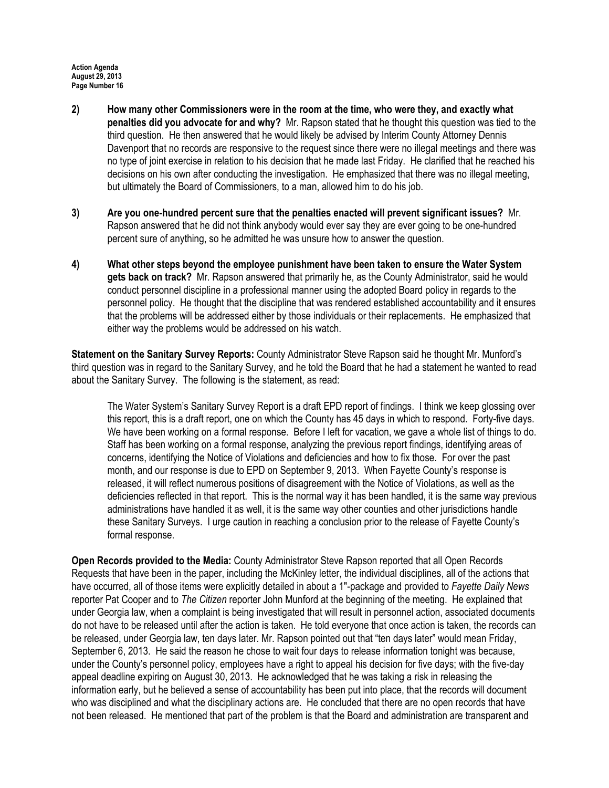- 2) How many other Commissioners were in the room at the time, who were they, and exactly what penalties did you advocate for and why? Mr. Rapson stated that he thought this question was tied to the third question. He then answered that he would likely be advised by Interim County Attorney Dennis Davenport that no records are responsive to the request since there were no illegal meetings and there was no type of joint exercise in relation to his decision that he made last Friday. He clarified that he reached his decisions on his own after conducting the investigation. He emphasized that there was no illegal meeting, but ultimately the Board of Commissioners, to a man, allowed him to do his job.
- 3) Are you one-hundred percent sure that the penalties enacted will prevent significant issues? Mr. Rapson answered that he did not think anybody would ever say they are ever going to be one-hundred percent sure of anything, so he admitted he was unsure how to answer the question.
- 4) What other steps beyond the employee punishment have been taken to ensure the Water System gets back on track? Mr. Rapson answered that primarily he, as the County Administrator, said he would conduct personnel discipline in a professional manner using the adopted Board policy in regards to the personnel policy. He thought that the discipline that was rendered established accountability and it ensures that the problems will be addressed either by those individuals or their replacements. He emphasized that either way the problems would be addressed on his watch.

Statement on the Sanitary Survey Reports: County Administrator Steve Rapson said he thought Mr. Munford's third question was in regard to the Sanitary Survey, and he told the Board that he had a statement he wanted to read about the Sanitary Survey. The following is the statement, as read:

The Water System's Sanitary Survey Report is a draft EPD report of findings. I think we keep glossing over this report, this is a draft report, one on which the County has 45 days in which to respond. Forty-five days. We have been working on a formal response. Before I left for vacation, we gave a whole list of things to do. Staff has been working on a formal response, analyzing the previous report findings, identifying areas of concerns, identifying the Notice of Violations and deficiencies and how to fix those. For over the past month, and our response is due to EPD on September 9, 2013. When Fayette County's response is released, it will reflect numerous positions of disagreement with the Notice of Violations, as well as the deficiencies reflected in that report. This is the normal way it has been handled, it is the same way previous administrations have handled it as well, it is the same way other counties and other jurisdictions handle these Sanitary Surveys. I urge caution in reaching a conclusion prior to the release of Fayette County's formal response.

Open Records provided to the Media: County Administrator Steve Rapson reported that all Open Records Requests that have been in the paper, including the McKinley letter, the individual disciplines, all of the actions that have occurred, all of those items were explicitly detailed in about a 1"-package and provided to Fayette Daily News reporter Pat Cooper and to The Citizen reporter John Munford at the beginning of the meeting. He explained that under Georgia law, when a complaint is being investigated that will result in personnel action, associated documents do not have to be released until after the action is taken. He told everyone that once action is taken, the records can be released, under Georgia law, ten days later. Mr. Rapson pointed out that "ten days later" would mean Friday, September 6, 2013. He said the reason he chose to wait four days to release information tonight was because, under the County's personnel policy, employees have a right to appeal his decision for five days; with the five-day appeal deadline expiring on August 30, 2013. He acknowledged that he was taking a risk in releasing the information early, but he believed a sense of accountability has been put into place, that the records will document who was disciplined and what the disciplinary actions are. He concluded that there are no open records that have not been released. He mentioned that part of the problem is that the Board and administration are transparent and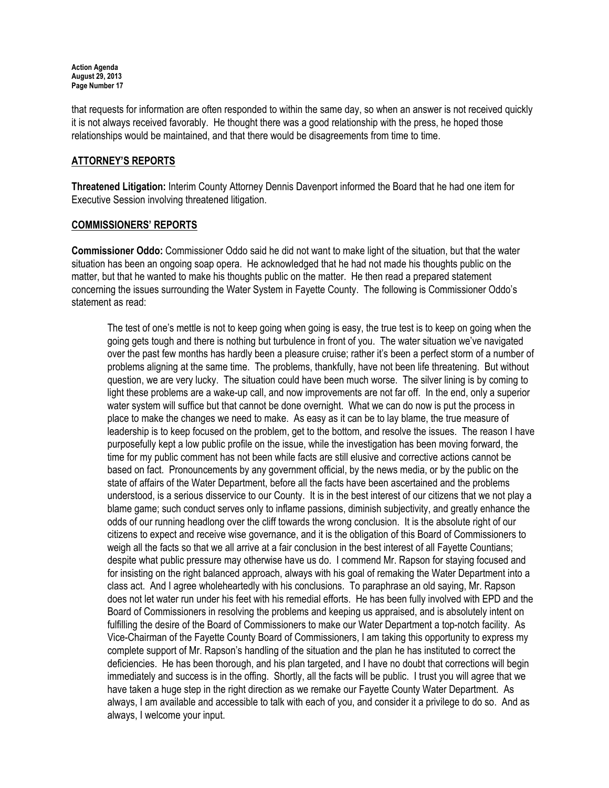that requests for information are often responded to within the same day, so when an answer is not received quickly it is not always received favorably. He thought there was a good relationship with the press, he hoped those relationships would be maintained, and that there would be disagreements from time to time.

# ATTORNEY'S REPORTS

Threatened Litigation: Interim County Attorney Dennis Davenport informed the Board that he had one item for Executive Session involving threatened litigation.

### COMMISSIONERS' REPORTS

Commissioner Oddo: Commissioner Oddo said he did not want to make light of the situation, but that the water situation has been an ongoing soap opera. He acknowledged that he had not made his thoughts public on the matter, but that he wanted to make his thoughts public on the matter. He then read a prepared statement concerning the issues surrounding the Water System in Fayette County. The following is Commissioner Oddo's statement as read:

The test of one's mettle is not to keep going when going is easy, the true test is to keep on going when the going gets tough and there is nothing but turbulence in front of you. The water situation we've navigated over the past few months has hardly been a pleasure cruise; rather it's been a perfect storm of a number of problems aligning at the same time. The problems, thankfully, have not been life threatening. But without question, we are very lucky. The situation could have been much worse. The silver lining is by coming to light these problems are a wake-up call, and now improvements are not far off. In the end, only a superior water system will suffice but that cannot be done overnight. What we can do now is put the process in place to make the changes we need to make. As easy as it can be to lay blame, the true measure of leadership is to keep focused on the problem, get to the bottom, and resolve the issues. The reason I have purposefully kept a low public profile on the issue, while the investigation has been moving forward, the time for my public comment has not been while facts are still elusive and corrective actions cannot be based on fact. Pronouncements by any government official, by the news media, or by the public on the state of affairs of the Water Department, before all the facts have been ascertained and the problems understood, is a serious disservice to our County. It is in the best interest of our citizens that we not play a blame game; such conduct serves only to inflame passions, diminish subjectivity, and greatly enhance the odds of our running headlong over the cliff towards the wrong conclusion. It is the absolute right of our citizens to expect and receive wise governance, and it is the obligation of this Board of Commissioners to weigh all the facts so that we all arrive at a fair conclusion in the best interest of all Fayette Countians; despite what public pressure may otherwise have us do. I commend Mr. Rapson for staying focused and for insisting on the right balanced approach, always with his goal of remaking the Water Department into a class act. And I agree wholeheartedly with his conclusions. To paraphrase an old saying, Mr. Rapson does not let water run under his feet with his remedial efforts. He has been fully involved with EPD and the Board of Commissioners in resolving the problems and keeping us appraised, and is absolutely intent on fulfilling the desire of the Board of Commissioners to make our Water Department a top-notch facility. As Vice-Chairman of the Fayette County Board of Commissioners, I am taking this opportunity to express my complete support of Mr. Rapson's handling of the situation and the plan he has instituted to correct the deficiencies. He has been thorough, and his plan targeted, and I have no doubt that corrections will begin immediately and success is in the offing. Shortly, all the facts will be public. I trust you will agree that we have taken a huge step in the right direction as we remake our Fayette County Water Department. As always, I am available and accessible to talk with each of you, and consider it a privilege to do so. And as always, I welcome your input.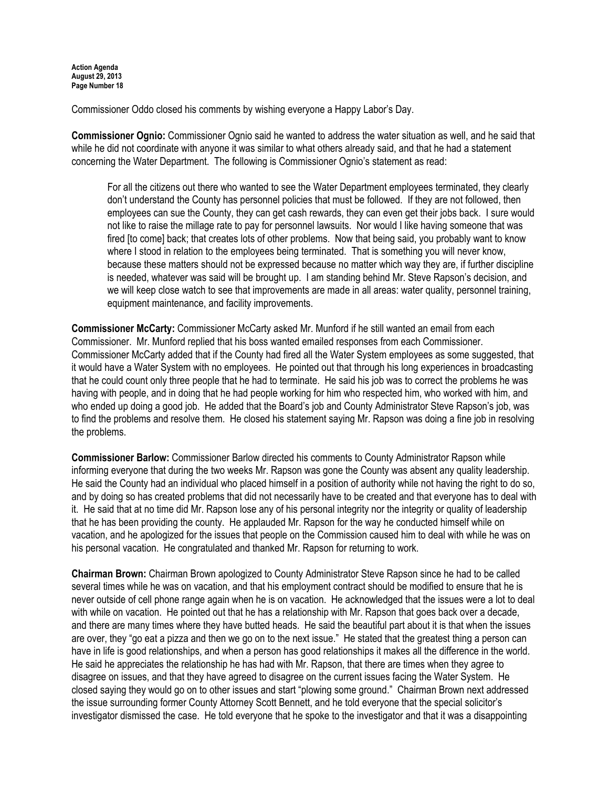Commissioner Oddo closed his comments by wishing everyone a Happy Labor's Day.

Commissioner Ognio: Commissioner Ognio said he wanted to address the water situation as well, and he said that while he did not coordinate with anyone it was similar to what others already said, and that he had a statement concerning the Water Department. The following is Commissioner Ognio's statement as read:

For all the citizens out there who wanted to see the Water Department employees terminated, they clearly don't understand the County has personnel policies that must be followed. If they are not followed, then employees can sue the County, they can get cash rewards, they can even get their jobs back. I sure would not like to raise the millage rate to pay for personnel lawsuits. Nor would I like having someone that was fired [to come] back; that creates lots of other problems. Now that being said, you probably want to know where I stood in relation to the employees being terminated. That is something you will never know, because these matters should not be expressed because no matter which way they are, if further discipline is needed, whatever was said will be brought up. I am standing behind Mr. Steve Rapson's decision, and we will keep close watch to see that improvements are made in all areas: water quality, personnel training, equipment maintenance, and facility improvements.

Commissioner McCarty: Commissioner McCarty asked Mr. Munford if he still wanted an email from each Commissioner. Mr. Munford replied that his boss wanted emailed responses from each Commissioner. Commissioner McCarty added that if the County had fired all the Water System employees as some suggested, that it would have a Water System with no employees. He pointed out that through his long experiences in broadcasting that he could count only three people that he had to terminate. He said his job was to correct the problems he was having with people, and in doing that he had people working for him who respected him, who worked with him, and who ended up doing a good job. He added that the Board's job and County Administrator Steve Rapson's job, was to find the problems and resolve them. He closed his statement saying Mr. Rapson was doing a fine job in resolving the problems.

Commissioner Barlow: Commissioner Barlow directed his comments to County Administrator Rapson while informing everyone that during the two weeks Mr. Rapson was gone the County was absent any quality leadership. He said the County had an individual who placed himself in a position of authority while not having the right to do so, and by doing so has created problems that did not necessarily have to be created and that everyone has to deal with it. He said that at no time did Mr. Rapson lose any of his personal integrity nor the integrity or quality of leadership that he has been providing the county. He applauded Mr. Rapson for the way he conducted himself while on vacation, and he apologized for the issues that people on the Commission caused him to deal with while he was on his personal vacation. He congratulated and thanked Mr. Rapson for returning to work.

Chairman Brown: Chairman Brown apologized to County Administrator Steve Rapson since he had to be called several times while he was on vacation, and that his employment contract should be modified to ensure that he is never outside of cell phone range again when he is on vacation. He acknowledged that the issues were a lot to deal with while on vacation. He pointed out that he has a relationship with Mr. Rapson that goes back over a decade, and there are many times where they have butted heads. He said the beautiful part about it is that when the issues are over, they "go eat a pizza and then we go on to the next issue." He stated that the greatest thing a person can have in life is good relationships, and when a person has good relationships it makes all the difference in the world. He said he appreciates the relationship he has had with Mr. Rapson, that there are times when they agree to disagree on issues, and that they have agreed to disagree on the current issues facing the Water System. He closed saying they would go on to other issues and start "plowing some ground." Chairman Brown next addressed the issue surrounding former County Attorney Scott Bennett, and he told everyone that the special solicitor's investigator dismissed the case. He told everyone that he spoke to the investigator and that it was a disappointing